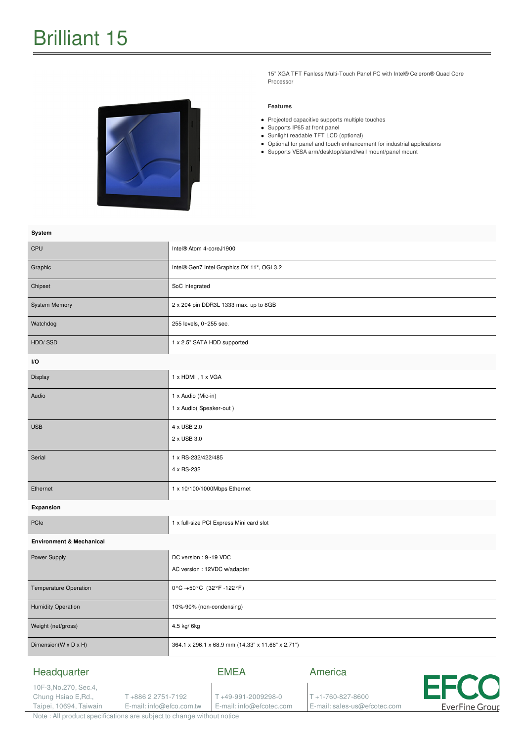15" XGA TFT Fanless Multi-Touch Panel PC with Intel® Celeron® Quad Core Processor

#### **Features**

- Projected capacitive supports multiple touches
- Supports IP65 at front panel
- Sunlight readable TFT LCD (optional)
- Optional for panel and touch enhancement for industrial applications
- Supports VESA arm/desktop/stand/wall mount/panel mount

| System                                                                           |                                                       |                                   |                             |             |
|----------------------------------------------------------------------------------|-------------------------------------------------------|-----------------------------------|-----------------------------|-------------|
| <b>CPU</b>                                                                       | Intel® Atom 4-coreJ1900                               |                                   |                             |             |
| Graphic                                                                          | Intel® Gen7 Intel Graphics DX 11*, OGL3.2             |                                   |                             |             |
| Chipset                                                                          | SoC integrated                                        |                                   |                             |             |
| <b>System Memory</b>                                                             | 2 x 204 pin DDR3L 1333 max. up to 8GB                 |                                   |                             |             |
| Watchdog                                                                         | 255 levels, 0~255 sec.                                |                                   |                             |             |
| HDD/SSD                                                                          | 1 x 2.5" SATA HDD supported                           |                                   |                             |             |
| I/O                                                                              |                                                       |                                   |                             |             |
| Display                                                                          | 1 x HDMI, 1 x VGA                                     |                                   |                             |             |
| Audio                                                                            | 1 x Audio (Mic-in)<br>1 x Audio(Speaker-out)          |                                   |                             |             |
| <b>USB</b>                                                                       | 4 x USB 2.0<br>2 x USB 3.0                            |                                   |                             |             |
| Serial                                                                           | 1 x RS-232/422/485<br>4 x RS-232                      |                                   |                             |             |
| Ethernet                                                                         | 1 x 10/100/1000Mbps Ethernet                          |                                   |                             |             |
| Expansion                                                                        |                                                       |                                   |                             |             |
| PCIe                                                                             | 1 x full-size PCI Express Mini card slot              |                                   |                             |             |
| <b>Environment &amp; Mechanical</b>                                              |                                                       |                                   |                             |             |
| Power Supply                                                                     | DC version : 9~19 VDC<br>AC version : 12VDC w/adapter |                                   |                             |             |
| Temperature Operation                                                            | 0°C-+50°C (32°F-122°F)                                |                                   |                             |             |
| <b>Humidity Operation</b>                                                        | 10%-90% (non-condensing)                              |                                   |                             |             |
| Weight (net/gross)                                                               | 4.5 kg/ 6kg                                           |                                   |                             |             |
| Dimension(W x D x H)                                                             | 364.1 x 296.1 x 68.9 mm (14.33" x 11.66" x 2.71")     |                                   |                             |             |
| Headquarter<br>10F-3, No.270, Sec.4,<br>Chung Hsiao E, Rd.,<br>T+886 2 2751-7192 |                                                       | <b>EMEA</b><br>T+49-991-2009298-0 | America<br>T+1-760-827-8600 | <b>EFCC</b> |

E-mail: info@efcotec.com

E-mail: sales-us@efcotec.com

**EverFine Group** 

Note : All product specifications are subject to change without notice

E-mail: info@efco.com.tw

Taipei, 10694, Taiwain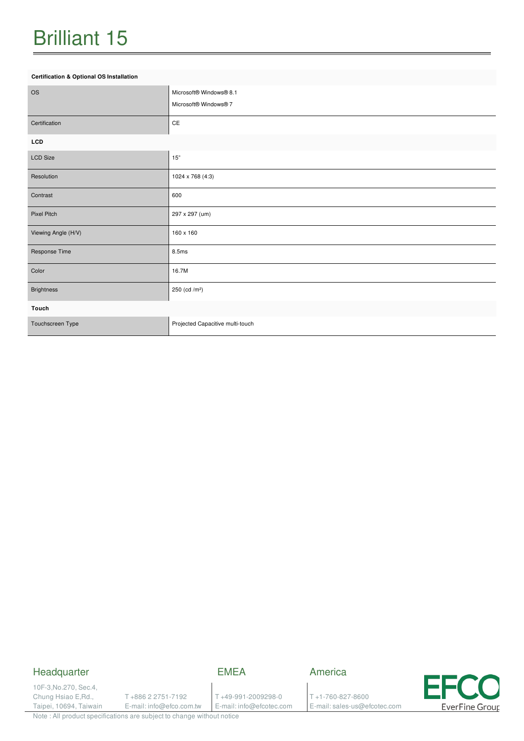## Brilliant 15

#### **Certification & Optional OS Installation**

| <b>OS</b>           | Microsoft® Windows® 8.1<br>Microsoft® Windows® 7 |  |  |  |
|---------------------|--------------------------------------------------|--|--|--|
| Certification       | CE                                               |  |  |  |
| LCD                 |                                                  |  |  |  |
| <b>LCD Size</b>     | 15"                                              |  |  |  |
| Resolution          | 1024 x 768 (4:3)                                 |  |  |  |
| Contrast            | 600                                              |  |  |  |
| Pixel Pitch         | 297 x 297 (um)                                   |  |  |  |
| Viewing Angle (H/V) | 160 x 160                                        |  |  |  |
| Response Time       | 8.5ms                                            |  |  |  |
| Color               | 16.7M                                            |  |  |  |
| <b>Brightness</b>   | 250 (cd /m <sup>2</sup> )                        |  |  |  |
| Touch               |                                                  |  |  |  |
| Touchscreen Type    | Projected Capacitive multi-touch                 |  |  |  |

### Headquarter

EMEA

America

10F-3,No.270, Sec.4, Chung Hsiao E,Rd., Taipei, 10694, Taiwain

T +886 2 2751-7192 E-mail: info@efco.com.tw

T +49-991-2009298-0 E-mail: info@efcotec.com T +1-760-827-8600 E-mail: sales-us@efcotec.com



Note : All product specifications are subject to change without notice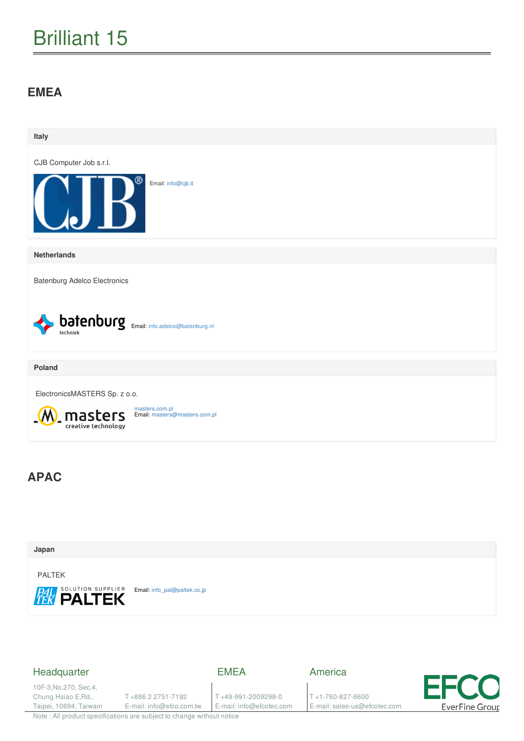# Brilliant 15

### **EMEA**





### Headquarter

EMEA

10F-3,No.270, Sec.4, Chung Hsiao E,Rd., Taipei, 10694, Taiwain

T +886 2 2751-7192 E-mail: info@efco.com.tw

T +49-991-2009298-0 E-mail: info@efcotec.com America

T +1-760-827-8600 E-mail: sales-us@efcotec.com



Note : All product specifications are subject to change without notice